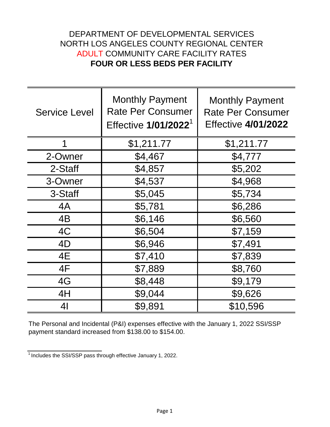## DEPARTMENT OF DEVELOPMENTAL SERVICES NORTH LOS ANGELES COUNTY REGIONAL CENTER ADULT COMMUNITY CARE FACILITY RATES **FOUR OR LESS BEDS PER FACILITY**

| <b>Service Level</b> | <b>Monthly Payment</b><br><b>Rate Per Consumer</b><br>Effective 1/01/2022 <sup>1</sup> | <b>Monthly Payment</b><br><b>Rate Per Consumer</b><br><b>Effective 4/01/2022</b> |
|----------------------|----------------------------------------------------------------------------------------|----------------------------------------------------------------------------------|
| 1                    | \$1,211.77                                                                             | \$1,211.77                                                                       |
| 2-Owner              | \$4,467                                                                                | \$4,777                                                                          |
| 2-Staff              | \$4,857                                                                                | \$5,202                                                                          |
| 3-Owner              | \$4,537                                                                                | \$4,968                                                                          |
| 3-Staff              | \$5,045                                                                                | \$5,734                                                                          |
| 4A                   | \$5,781                                                                                | \$6,286                                                                          |
| 4B                   | \$6,146                                                                                | \$6,560                                                                          |
| 4C                   | \$6,504                                                                                | \$7,159                                                                          |
| 4D                   | \$6,946                                                                                | \$7,491                                                                          |
| 4E                   | \$7,410                                                                                | \$7,839                                                                          |
| 4F                   | \$7,889                                                                                | \$8,760                                                                          |
| 4G                   | \$8,448                                                                                | \$9,179                                                                          |
| 4H                   | \$9,044                                                                                | \$9,626                                                                          |
| 4 <sub>l</sub>       | \$9,891                                                                                | \$10,596                                                                         |

The Personal and Incidental (P&I) expenses effective with the January 1, 2022 SSI/SSP payment standard increased from \$138.00 to \$154.00.

 $\frac{1}{1}$  Includes the SSI/SSP pass through effective January 1, 2022.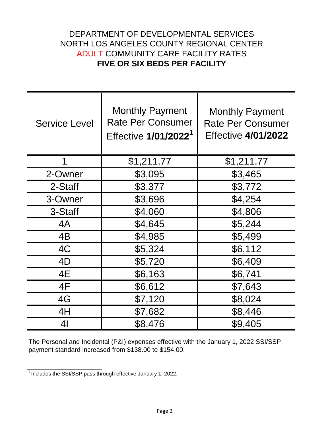## DEPARTMENT OF DEVELOPMENTAL SERVICES NORTH LOS ANGELES COUNTY REGIONAL CENTER ADULT COMMUNITY CARE FACILITY RATES **FIVE OR SIX BEDS PER FACILITY**

| <b>Service Level</b> | <b>Monthly Payment</b><br><b>Rate Per Consumer</b><br>Effective 1/01/2022 <sup>1</sup> | <b>Monthly Payment</b><br><b>Rate Per Consumer</b><br><b>Effective 4/01/2022</b> |
|----------------------|----------------------------------------------------------------------------------------|----------------------------------------------------------------------------------|
| 1                    | \$1,211.77                                                                             | \$1,211.77                                                                       |
| 2-Owner              | \$3,095                                                                                | \$3,465                                                                          |
| 2-Staff              | \$3,377                                                                                | \$3,772                                                                          |
| 3-Owner              | \$3,696                                                                                | \$4,254                                                                          |
| 3-Staff              | \$4,060                                                                                | \$4,806                                                                          |
| 4A                   | \$4,645                                                                                | \$5,244                                                                          |
| 4B                   | \$4,985                                                                                | \$5,499                                                                          |
| 4C                   | \$5,324                                                                                | \$6,112                                                                          |
| 4D                   | \$5,720                                                                                | \$6,409                                                                          |
| 4E                   | \$6,163                                                                                | \$6,741                                                                          |
| 4F                   | \$6,612                                                                                | \$7,643                                                                          |
| 4G                   | \$7,120                                                                                | \$8,024                                                                          |
| 4H                   | \$7,682                                                                                | \$8,446                                                                          |
| 41                   | \$8,476                                                                                | \$9,405                                                                          |

The Personal and Incidental (P&I) expenses effective with the January 1, 2022 SSI/SSP payment standard increased from \$138.00 to \$154.00.

 $\frac{1}{1}$  Includes the SSI/SSP pass through effective January 1, 2022.